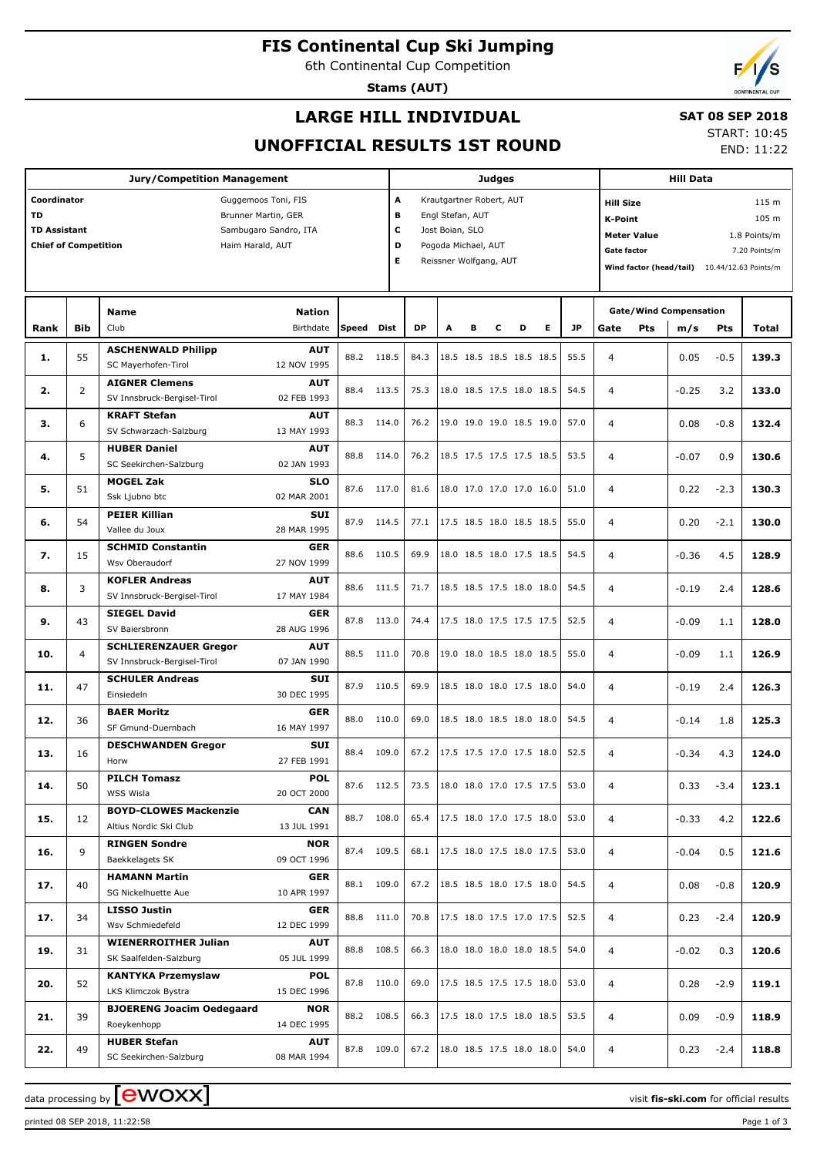# **FIS Continental Cup Ski Jumping**

6th Continental Cup Competition

**Stams (AUT)**

## **LARGE HILL INDIVIDUAL**

## **SAT 08 SEP 2018**

**UNOFFICIAL RESULTS 1ST ROUND**

START: 10:45 END: 11:22

| <b>Jury/Competition Management</b>                                                                                                                                        |                |                                                                                      |                                          |                          |       |                                                                                                                                            | <b>Judges</b> |   |   |                                                       |   |              |                                  | <b>Hill Data</b>                                                                                                                                                           |                                      |                  |                |  |
|---------------------------------------------------------------------------------------------------------------------------------------------------------------------------|----------------|--------------------------------------------------------------------------------------|------------------------------------------|--------------------------|-------|--------------------------------------------------------------------------------------------------------------------------------------------|---------------|---|---|-------------------------------------------------------|---|--------------|----------------------------------|----------------------------------------------------------------------------------------------------------------------------------------------------------------------------|--------------------------------------|------------------|----------------|--|
| Coordinator<br>Guggemoos Toni, FIS<br><b>TD</b><br>Brunner Martin, GER<br><b>TD Assistant</b><br>Sambugaro Sandro, ITA<br><b>Chief of Competition</b><br>Haim Harald, AUT |                |                                                                                      |                                          |                          |       | A<br>Krautgartner Robert, AUT<br>в<br>Engl Stefan, AUT<br>с<br>Jost Boian, SLO<br>D<br>Pogoda Michael, AUT<br>E.<br>Reissner Wolfgang, AUT |               |   |   |                                                       |   |              |                                  | <b>Hill Size</b><br>115 m<br>105 m<br>K-Point<br>1.8 Points/m<br><b>Meter Value</b><br><b>Gate factor</b><br>7.20 Points/m<br>Wind factor (head/tail) 10.44/12.63 Points/m |                                      |                  |                |  |
| Rank                                                                                                                                                                      | <b>Bib</b>     | <b>Name</b><br>Club                                                                  | Nation<br>Birthdate                      | Speed Dist               |       | <b>DP</b>                                                                                                                                  | A             | в | c | D                                                     | Е | <b>JP</b>    | Gate                             | <b>Pts</b>                                                                                                                                                                 | <b>Gate/Wind Compensation</b><br>m/s | Pts              | Total          |  |
| 1.                                                                                                                                                                        | 55             | <b>ASCHENWALD Philipp</b><br>SC Mayerhofen-Tirol                                     | <b>AUT</b><br>12 NOV 1995                | 88.2 118.5               |       | 84.3                                                                                                                                       |               |   |   | 18.5 18.5 18.5 18.5 18.5                              |   | 55.5         | $\overline{4}$                   |                                                                                                                                                                            | 0.05                                 | $-0.5$           | 139.3          |  |
| 2.                                                                                                                                                                        | $\overline{2}$ | <b>AIGNER Clemens</b><br>SV Innsbruck-Bergisel-Tirol                                 | <b>AUT</b><br>02 FEB 1993                | 88.4                     | 113.5 | 75.3                                                                                                                                       |               |   |   | 18.0 18.5 17.5 18.0 18.5                              |   | 54.5         | $\overline{4}$                   |                                                                                                                                                                            | $-0.25$                              | 3.2              | 133.0          |  |
| з.                                                                                                                                                                        | 6              | <b>KRAFT Stefan</b><br>SV Schwarzach-Salzburg<br><b>HUBER Daniel</b>                 | <b>AUT</b><br>13 MAY 1993<br><b>AUT</b>  | 88.3 114.0               |       | 76.2                                                                                                                                       |               |   |   | 19.0 19.0 19.0 18.5 19.0                              |   | 57.0         | $\overline{4}$                   |                                                                                                                                                                            | 0.08                                 | $-0.8$           | 132.4          |  |
| 4.                                                                                                                                                                        | 5              | SC Seekirchen-Salzburg<br><b>MOGEL Zak</b>                                           | 02 JAN 1993<br><b>SLO</b>                | 88.8 114.0               |       | 76.2                                                                                                                                       |               |   |   | 18.5 17.5 17.5 17.5 18.5                              |   | 53.5         | $\overline{4}$                   |                                                                                                                                                                            | $-0.07$                              | 0.9              | 130.6          |  |
| 5.<br>6.                                                                                                                                                                  | 51<br>54       | Ssk Ljubno btc<br><b>PEIER Killian</b>                                               | 02 MAR 2001<br>SUI                       | 87.6 117.0<br>87.9 114.5 |       | 81.6<br>77.1                                                                                                                               |               |   |   | 18.0 17.0 17.0 17.0 16.0<br>17.5 18.5 18.0 18.5 18.5  |   | 51.0<br>55.0 | $\overline{4}$<br>$\overline{4}$ |                                                                                                                                                                            | 0.22<br>0.20                         | $-2.3$<br>$-2.1$ | 130.3<br>130.0 |  |
| 7.                                                                                                                                                                        | 15             | Vallee du Joux<br><b>SCHMID Constantin</b><br>Wsv Oberaudorf                         | 28 MAR 1995<br><b>GER</b><br>27 NOV 1999 | 88.6 110.5               |       | 69.9                                                                                                                                       |               |   |   | 18.0 18.5 18.0 17.5 18.5                              |   | 54.5         | $\overline{4}$                   |                                                                                                                                                                            | $-0.36$                              | 4.5              | 128.9          |  |
| 8.                                                                                                                                                                        | 3              | <b>KOFLER Andreas</b><br>SV Innsbruck-Bergisel-Tirol                                 | <b>AUT</b><br>17 MAY 1984                | 88.6 111.5               |       | 71.7                                                                                                                                       |               |   |   | 18.5 18.5 17.5 18.0 18.0                              |   | 54.5         | $\overline{4}$                   |                                                                                                                                                                            | $-0.19$                              | 2.4              | 128.6          |  |
| 9.                                                                                                                                                                        | 43             | <b>SIEGEL David</b><br>SV Baiersbronn                                                | GER<br>28 AUG 1996                       | 87.8 113.0               |       | 74.4                                                                                                                                       |               |   |   | 17.5 18.0 17.5 17.5 17.5                              |   | 52.5         | $\overline{4}$                   |                                                                                                                                                                            | $-0.09$                              | 1.1              | 128.0          |  |
| 10.                                                                                                                                                                       | 4              | <b>SCHLIERENZAUER Gregor</b><br>SV Innsbruck-Bergisel-Tirol                          | <b>AUT</b><br>07 JAN 1990                | 88.5 111.0               |       | 70.8                                                                                                                                       |               |   |   | 19.0 18.0 18.5 18.0 18.5                              |   | 55.0         | $\overline{4}$                   |                                                                                                                                                                            | $-0.09$                              | 1.1              | 126.9          |  |
| 11.                                                                                                                                                                       | 47             | <b>SCHULER Andreas</b><br>Einsiedeln<br><b>BAER Moritz</b>                           | SUI<br>30 DEC 1995<br>GER                | 87.9 110.5               |       | 69.9                                                                                                                                       |               |   |   | 18.5 18.0 18.0 17.5 18.0                              |   | 54.0         | $\overline{4}$                   |                                                                                                                                                                            | $-0.19$                              | 2.4              | 126.3          |  |
| 12.                                                                                                                                                                       | 36             | SF Gmund-Duernbach<br><b>DESCHWANDEN Gregor</b>                                      | 16 MAY 1997<br>SUI                       | 88.0                     | 110.0 | 69.0                                                                                                                                       |               |   |   | 18.5 18.0 18.5 18.0 18.0                              |   | 54.5         | $\overline{4}$                   |                                                                                                                                                                            | $-0.14$                              | 1.8              | 125.3          |  |
| 13.<br>14.                                                                                                                                                                | 16<br>50       | Horw<br><b>PILCH Tomasz</b>                                                          | 27 FEB 1991<br><b>POL</b>                | 88.4<br>87.6 112.5       | 109.0 | 67.2<br>73.5                                                                                                                               |               |   |   | 17.5 17.5 17.0 17.5 18.0<br> 18.0 18.0 17.0 17.5 17.5 |   | 52.5<br>53.0 | $\overline{4}$<br>4              |                                                                                                                                                                            | $-0.34$<br>0.33                      | 4.3<br>$-3.4$    | 124.0<br>123.1 |  |
| 15.                                                                                                                                                                       | 12             | <b>WSS Wisla</b><br><b>BOYD-CLOWES Mackenzie</b>                                     | 20 OCT 2000<br><b>CAN</b>                | 88.7 108.0               |       | 65.4                                                                                                                                       |               |   |   | 17.5 18.0 17.0 17.5 18.0                              |   | 53.0         | 4                                |                                                                                                                                                                            | $-0.33$                              | 4.2              | 122.6          |  |
| 16.                                                                                                                                                                       | 9              | Altius Nordic Ski Club<br><b>RINGEN Sondre</b><br>Baekkelagets SK                    | 13 JUL 1991<br><b>NOR</b><br>09 OCT 1996 | 87.4 109.5               |       | 68.1                                                                                                                                       |               |   |   | 17.5 18.0 17.5 18.0 17.5                              |   | 53.0         | 4                                |                                                                                                                                                                            | $-0.04$                              | 0.5              | 121.6          |  |
| 17.                                                                                                                                                                       | 40             | <b>HAMANN Martin</b><br>SG Nickelhuette Aue                                          | GER<br>10 APR 1997                       | 88.1 109.0               |       | 67.2                                                                                                                                       |               |   |   | 18.5 18.5 18.0 17.5 18.0                              |   | 54.5         | 4                                |                                                                                                                                                                            | 0.08                                 | $-0.8$           | 120.9          |  |
| 17.                                                                                                                                                                       | 34             | <b>LISSO Justin</b><br>Wsv Schmiedefeld                                              | GER<br>12 DEC 1999                       | 88.8 111.0               |       | 70.8                                                                                                                                       |               |   |   | 17.5 18.0 17.5 17.0 17.5                              |   | 52.5         | 4                                |                                                                                                                                                                            | 0.23                                 | $-2.4$           | 120.9          |  |
| 19.                                                                                                                                                                       | 31             | <b>WIENERROITHER Julian</b><br>SK Saalfelden-Salzburg                                | AUT<br>05 JUL 1999                       | 88.8 108.5               |       | 66.3                                                                                                                                       |               |   |   | 18.0 18.0 18.0 18.0 18.5                              |   | 54.0         | 4                                |                                                                                                                                                                            | $-0.02$                              | 0.3              | 120.6          |  |
| 20.                                                                                                                                                                       | 52             | <b>KANTYKA Przemyslaw</b><br>LKS Klimczok Bystra<br><b>BJOERENG Joacim Oedegaard</b> | POL<br>15 DEC 1996<br>NOR                | 87.8 110.0               |       | 69.0                                                                                                                                       |               |   |   | 17.5 18.5 17.5 17.5 18.0                              |   | 53.0         | 4                                |                                                                                                                                                                            | 0.28                                 | $-2.9$           | 119.1          |  |
| 21.                                                                                                                                                                       | 39             | Roeykenhopp<br><b>HUBER Stefan</b>                                                   | 14 DEC 1995<br>AUT                       | 88.2 108.5               |       | 66.3                                                                                                                                       |               |   |   | 17.5 18.0 17.5 18.0 18.5                              |   | 53.5         | 4                                |                                                                                                                                                                            | 0.09                                 | $-0.9$           | 118.9          |  |
| 22.                                                                                                                                                                       | 49             | SC Seekirchen-Salzburg                                                               | 08 MAR 1994                              | 87.8 109.0               |       | 67.2                                                                                                                                       |               |   |   | 18.0 18.5 17.5 18.0 18.0                              |   | 54.0         | 4                                |                                                                                                                                                                            | 0.23                                 | $-2.4$           | 118.8          |  |

data processing by **CWOXX** The state of the visit **fis-ski.com** for official results

printed 08 SEP 2018, 11:22:58 Page 1 of 3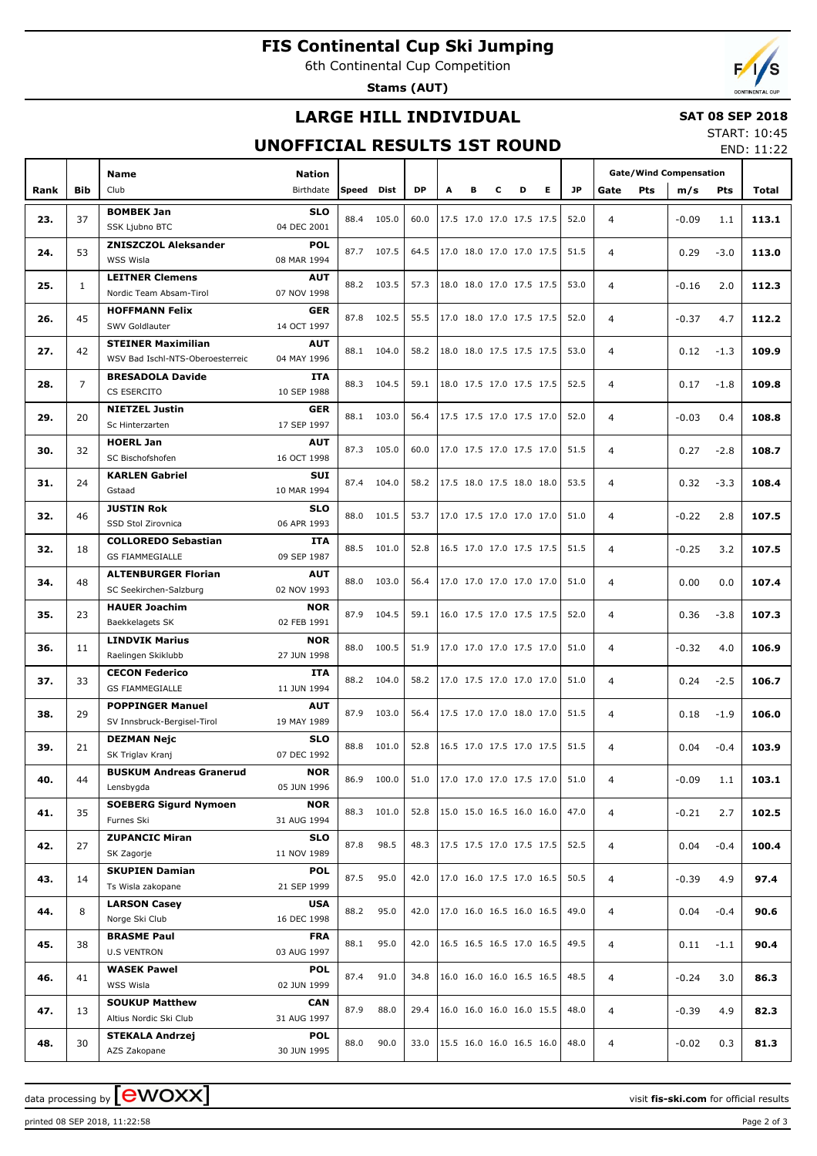# **FIS Continental Cup Ski Jumping**

6th Continental Cup Competition

**Stams (AUT)**

## **LARGE HILL INDIVIDUAL**

### **SAT 08 SEP 2018** START: 10:45

## **UNOFFICIAL RESULTS 1ST ROUND**

END: 11:22

|      |                | <b>Name</b>                                     | <b>Nation</b>             |       |             |           |                          |                          |                          |   |                          |      | <b>Gate/Wind Compensation</b> |         |            |       |
|------|----------------|-------------------------------------------------|---------------------------|-------|-------------|-----------|--------------------------|--------------------------|--------------------------|---|--------------------------|------|-------------------------------|---------|------------|-------|
| Rank | <b>Bib</b>     | Club                                            | Birthdate                 | Speed | <b>Dist</b> | <b>DP</b> | A                        | в                        | c                        | D | Е                        | JP   | Pts<br>Gate                   | m/s     | <b>Pts</b> | Total |
|      |                |                                                 |                           |       |             |           |                          |                          |                          |   |                          |      |                               |         |            |       |
| 23.  | 37             | <b>BOMBEK Jan</b><br>SSK Ljubno BTC             | <b>SLO</b><br>04 DEC 2001 | 88.4  | 105.0       | 60.0      |                          | 17.5 17.0 17.0 17.5 17.5 |                          |   |                          | 52.0 | $\overline{4}$                | $-0.09$ | 1.1        | 113.1 |
|      |                | <b>ZNISZCZOL Aleksander</b>                     | <b>POL</b>                |       |             |           |                          |                          |                          |   |                          |      |                               |         |            |       |
| 24.  | 53             | WSS Wisla                                       | 08 MAR 1994               | 87.7  | 107.5       | 64.5      |                          | 17.0 18.0 17.0 17.0 17.5 |                          |   |                          | 51.5 | $\overline{4}$                | 0.29    | $-3.0$     | 113.0 |
|      |                | <b>LEITNER Clemens</b>                          | <b>AUT</b>                |       |             |           |                          |                          |                          |   |                          |      |                               |         |            |       |
| 25.  | $\mathbf{1}$   | Nordic Team Absam-Tirol                         | 07 NOV 1998               |       | 88.2 103.5  | 57.3      |                          | 18.0 18.0 17.0 17.5 17.5 |                          |   |                          | 53.0 | $\overline{4}$                | $-0.16$ | 2.0        | 112.3 |
|      |                | <b>HOFFMANN Felix</b>                           | <b>GER</b>                |       |             |           |                          |                          |                          |   |                          |      |                               |         |            |       |
| 26.  | 45             | SWV Goldlauter                                  | 14 OCT 1997               | 87.8  | 102.5       | 55.5      |                          | 17.0 18.0 17.0 17.5 17.5 |                          |   |                          | 52.0 | $\overline{4}$                | $-0.37$ | 4.7        | 112.2 |
|      |                | <b>STEINER Maximilian</b>                       | <b>AUT</b>                |       |             |           |                          |                          |                          |   |                          |      |                               |         |            |       |
| 27.  | 42             | WSV Bad Ischl-NTS-Oberoesterreic                | 04 MAY 1996               | 88.1  | 104.0       | 58.2      |                          | 18.0 18.0 17.5 17.5 17.5 |                          |   |                          | 53.0 | $\overline{4}$                | 0.12    | $-1.3$     | 109.9 |
|      |                | <b>BRESADOLA Davide</b>                         | <b>ITA</b>                |       |             |           |                          |                          |                          |   |                          |      |                               |         |            |       |
| 28.  | $\overline{7}$ | CS ESERCITO                                     | 10 SEP 1988               | 88.3  | 104.5       | 59.1      |                          | 18.0 17.5 17.0 17.5 17.5 |                          |   |                          | 52.5 | $\overline{4}$                | 0.17    | $-1.8$     | 109.8 |
|      |                | <b>NIETZEL Justin</b>                           | <b>GER</b>                |       |             |           |                          |                          |                          |   |                          |      |                               |         |            |       |
| 29.  | 20             | Sc Hinterzarten                                 | 17 SEP 1997               | 88.1  | 103.0       | 56.4      |                          | 17.5 17.5 17.0 17.5 17.0 |                          |   |                          | 52.0 | $\overline{4}$                | $-0.03$ | 0.4        | 108.8 |
| 30.  | 32             | <b>HOERL Jan</b>                                | <b>AUT</b>                | 87.3  | 105.0       | 60.0      |                          |                          | 17.0 17.5 17.0 17.5 17.0 |   |                          | 51.5 | $\overline{4}$                | 0.27    | $-2.8$     | 108.7 |
|      |                | SC Bischofshofen                                | 16 OCT 1998               |       |             |           |                          |                          |                          |   |                          |      |                               |         |            |       |
| 31.  | 24             | <b>KARLEN Gabriel</b>                           | SUI                       | 87.4  | 104.0       | 58.2      |                          | 17.5 18.0 17.5 18.0 18.0 |                          |   |                          | 53.5 | $\overline{4}$                | 0.32    | $-3.3$     | 108.4 |
|      |                | Gstaad                                          | 10 MAR 1994               |       |             |           |                          |                          |                          |   |                          |      |                               |         |            |       |
| 32.  | 46             | <b>JUSTIN Rok</b>                               | <b>SLO</b>                | 88.0  | 101.5       | 53.7      |                          | 17.0 17.5 17.0 17.0 17.0 |                          |   |                          | 51.0 | $\overline{4}$                | $-0.22$ | 2.8        | 107.5 |
|      |                | SSD Stol Zirovnica                              | 06 APR 1993               |       |             |           |                          |                          |                          |   |                          |      |                               |         |            |       |
| 32.  | 18             | <b>COLLOREDO Sebastian</b>                      | <b>ITA</b>                | 88.5  | 101.0       | 52.8      |                          | 16.5 17.0 17.0 17.5 17.5 |                          |   |                          | 51.5 | $\overline{4}$                | $-0.25$ | 3.2        | 107.5 |
|      |                | <b>GS FIAMMEGIALLE</b>                          | 09 SEP 1987               |       |             |           |                          |                          |                          |   |                          |      |                               |         |            |       |
| 34.  | 48             | <b>ALTENBURGER Florian</b>                      | <b>AUT</b>                | 88.0  | 103.0       | 56.4      |                          | 17.0 17.0 17.0 17.0 17.0 |                          |   |                          | 51.0 | $\overline{4}$                | 0.00    | 0.0        | 107.4 |
|      |                | SC Seekirchen-Salzburg                          | 02 NOV 1993               |       |             |           |                          |                          |                          |   |                          |      |                               |         |            |       |
| 35.  | 23             | <b>HAUER Joachim</b>                            | <b>NOR</b>                | 87.9  | 104.5       | 59.1      |                          | 16.0 17.5 17.0 17.5 17.5 |                          |   |                          | 52.0 | $\overline{4}$                | 0.36    | $-3.8$     | 107.3 |
|      |                | Baekkelagets SK                                 | 02 FEB 1991               |       |             |           |                          |                          |                          |   |                          |      |                               |         |            |       |
| 36.  | 11             | <b>LINDVIK Marius</b><br>Raelingen Skiklubb     | <b>NOR</b><br>27 JUN 1998 | 88.0  | 100.5       | 51.9      |                          |                          |                          |   | 17.0 17.0 17.0 17.5 17.0 | 51.0 | $\overline{4}$                | $-0.32$ | 4.0        | 106.9 |
|      |                | <b>CECON Federico</b>                           | <b>ITA</b>                |       |             |           |                          |                          |                          |   |                          |      |                               |         |            |       |
| 37.  | 33             | <b>GS FIAMMEGIALLE</b>                          | 11 JUN 1994               | 88.2  | 104.0       | 58.2      |                          | 17.0 17.5 17.0 17.0 17.0 |                          |   |                          | 51.0 | $\overline{4}$                | 0.24    | $-2.5$     | 106.7 |
|      |                | <b>POPPINGER Manuel</b>                         | <b>AUT</b>                |       |             |           |                          |                          |                          |   |                          |      |                               |         |            |       |
| 38.  | 29             | SV Innsbruck-Bergisel-Tirol                     | 19 MAY 1989               | 87.9  | 103.0       | 56.4      |                          | 17.5 17.0 17.0 18.0 17.0 |                          |   |                          | 51.5 | $\overline{4}$                | 0.18    | $-1.9$     | 106.0 |
|      |                | <b>DEZMAN Nejc</b>                              | <b>SLO</b>                |       |             |           |                          |                          |                          |   |                          |      |                               |         |            |       |
| 39.  | 21             | SK Triglav Kranj                                | 07 DEC 1992               | 88.8  | 101.0       | 52.8      |                          | 16.5 17.0 17.5 17.0 17.5 |                          |   |                          | 51.5 | $\overline{4}$                | 0.04    | $-0.4$     | 103.9 |
|      |                | <b>BUSKUM Andreas Granerud</b>                  | <b>NOR</b>                |       |             |           |                          |                          |                          |   |                          |      |                               |         |            |       |
| 40.  | 44             | Lensbygda                                       | 05 JUN 1996               |       | 86.9 100.0  | 51.0      |                          | 17.0 17.0 17.0 17.5 17.0 |                          |   |                          | 51.0 | 4                             | $-0.09$ | 1.1        | 103.1 |
| 41.  | 35             | <b>SOEBERG Sigurd Nymoen</b>                    | <b>NOR</b>                |       | 88.3 101.0  | 52.8      |                          | 15.0 15.0 16.5 16.0 16.0 |                          |   |                          | 47.0 | $\overline{4}$                | $-0.21$ | 2.7        | 102.5 |
|      |                | Furnes Ski                                      | 31 AUG 1994               |       |             |           |                          |                          |                          |   |                          |      |                               |         |            |       |
| 42.  | 27             | <b>ZUPANCIC Miran</b>                           | <b>SLO</b>                | 87.8  | 98.5        | 48.3      |                          | 17.5 17.5 17.0 17.5 17.5 |                          |   |                          | 52.5 | 4                             | 0.04    | $-0.4$     | 100.4 |
|      |                | SK Zagorje                                      | 11 NOV 1989               |       |             |           |                          |                          |                          |   |                          |      |                               |         |            |       |
| 43.  | 14             | <b>SKUPIEN Damian</b>                           | <b>POL</b>                | 87.5  | 95.0        | 42.0      |                          | 17.0 16.0 17.5 17.0 16.5 |                          |   |                          | 50.5 | 4                             | $-0.39$ | 4.9        | 97.4  |
|      |                | Ts Wisla zakopane                               | 21 SEP 1999               |       |             |           |                          |                          |                          |   |                          |      |                               |         |            |       |
| 44.  | 8              | <b>LARSON Casey</b>                             | USA                       | 88.2  | 95.0        | 42.0      |                          | 17.0 16.0 16.5 16.0 16.5 |                          |   |                          | 49.0 | 4                             | 0.04    | $-0.4$     | 90.6  |
|      |                | Norge Ski Club                                  | 16 DEC 1998               |       |             |           |                          |                          |                          |   |                          |      |                               |         |            |       |
| 45.  | 38             | <b>BRASME Paul</b>                              | <b>FRA</b>                | 88.1  | 95.0        | 42.0      |                          | 16.5 16.5 16.5 17.0 16.5 |                          |   |                          | 49.5 | 4                             | 0.11    | $-1.1$     | 90.4  |
|      |                | <b>U.S VENTRON</b>                              | 03 AUG 1997               |       |             |           |                          |                          |                          |   |                          |      |                               |         |            |       |
| 46.  | 41             | <b>WASEK Pawel</b><br>WSS Wisla                 | <b>POL</b><br>02 JUN 1999 | 87.4  | 91.0        | 34.8      |                          | 16.0 16.0 16.0 16.5 16.5 |                          |   |                          | 48.5 | 4                             | $-0.24$ | 3.0        | 86.3  |
|      |                |                                                 |                           |       |             |           |                          |                          |                          |   |                          |      |                               |         |            |       |
| 47.  | 13             | <b>SOUKUP Matthew</b><br>Altius Nordic Ski Club | <b>CAN</b><br>31 AUG 1997 | 87.9  | 88.0        | 29.4      |                          | 16.0 16.0 16.0 16.0 15.5 |                          |   |                          | 48.0 | 4                             | $-0.39$ | 4.9        | 82.3  |
|      |                | <b>STEKALA Andrzej</b>                          | <b>POL</b>                |       |             |           |                          |                          |                          |   |                          |      |                               |         |            |       |
| 48.  | 30             | AZS Zakopane                                    | 30 JUN 1995               | 88.0  | 90.0        | 33.0      | 15.5 16.0 16.0 16.5 16.0 |                          |                          |   |                          | 48.0 | 4                             | $-0.02$ | 0.3        | 81.3  |

data processing by **CWOXX** and  $\overline{C}$  and  $\overline{C}$  and  $\overline{C}$  and  $\overline{C}$  and  $\overline{C}$  and  $\overline{C}$  and  $\overline{C}$  and  $\overline{C}$  and  $\overline{C}$  and  $\overline{C}$  and  $\overline{C}$  and  $\overline{C}$  and  $\overline{C}$  and  $\overline{C}$  and  $\overline{C}$